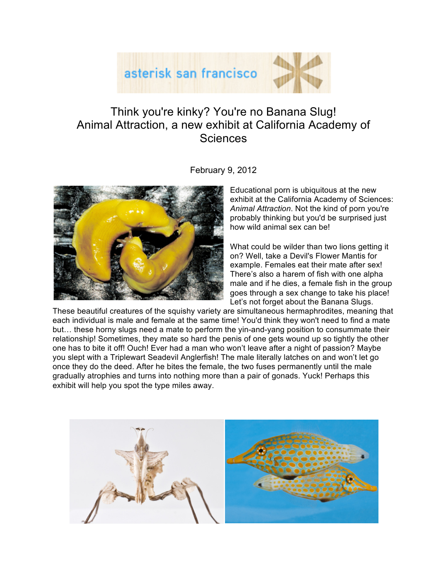

## Think you're kinky? You're no Banana Slug! Animal Attraction, a new exhibit at California Academy of **Sciences**



February 9, 2012

Educational porn is ubiquitous at the new exhibit at the California Academy of Sciences: *Animal Attraction*. Not the kind of porn you're probably thinking but you'd be surprised just how wild animal sex can be!

What could be wilder than two lions getting it on? Well, take a Devil's Flower Mantis for example. Females eat their mate after sex! There's also a harem of fish with one alpha male and if he dies, a female fish in the group goes through a sex change to take his place! Let's not forget about the Banana Slugs.

These beautiful creatures of the squishy variety are simultaneous hermaphrodites, meaning that each individual is male and female at the same time! You'd think they won't need to find a mate but… these horny slugs need a mate to perform the yin-and-yang position to consummate their relationship! Sometimes, they mate so hard the penis of one gets wound up so tightly the other one has to bite it off! Ouch! Ever had a man who won't leave after a night of passion? Maybe you slept with a Triplewart Seadevil Anglerfish! The male literally latches on and won't let go once they do the deed. After he bites the female, the two fuses permanently until the male gradually atrophies and turns into nothing more than a pair of gonads. Yuck! Perhaps this exhibit will help you spot the type miles away.